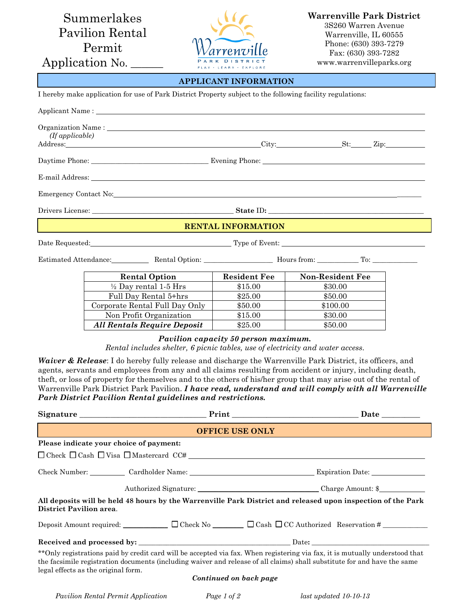Summerlakes Pavilion Rental Permit

Application No.



**Warrenville Park District** 3S260 Warren Avenue Warrenville, IL 60555 Phone: (630) 393-7279 Fax: (630) 393-7282 www.warrenvilleparks.org

## **APPLICANT INFORMATION**

|  |  |  |  |  |  |  | I hereby make application for use of Park District Property subject to the following facility regulations: |  |
|--|--|--|--|--|--|--|------------------------------------------------------------------------------------------------------------|--|
|  |  |  |  |  |  |  |                                                                                                            |  |

| (If applicable) |                                                                                                                                                                                                                                |                                                                                                                                                                                                                                                                                                                                                                                      |                         |  |  |
|-----------------|--------------------------------------------------------------------------------------------------------------------------------------------------------------------------------------------------------------------------------|--------------------------------------------------------------------------------------------------------------------------------------------------------------------------------------------------------------------------------------------------------------------------------------------------------------------------------------------------------------------------------------|-------------------------|--|--|
|                 |                                                                                                                                                                                                                                |                                                                                                                                                                                                                                                                                                                                                                                      |                         |  |  |
|                 | E-mail Address: North Contract Contract Contract Contract Contract Contract Contract Contract Contract Contract Contract Contract Contract Contract Contract Contract Contract Contract Contract Contract Contract Contract Co |                                                                                                                                                                                                                                                                                                                                                                                      |                         |  |  |
|                 | Emergency Contact No: Note that the contract of the contract of the contract of the contract of the contract of the contract of the contract of the contract of the contract of the contract of the contract of the contract o |                                                                                                                                                                                                                                                                                                                                                                                      |                         |  |  |
|                 |                                                                                                                                                                                                                                |                                                                                                                                                                                                                                                                                                                                                                                      |                         |  |  |
|                 |                                                                                                                                                                                                                                | <b>RENTAL INFORMATION</b>                                                                                                                                                                                                                                                                                                                                                            |                         |  |  |
|                 | Date Requested: Type of Event: The Requested:                                                                                                                                                                                  |                                                                                                                                                                                                                                                                                                                                                                                      |                         |  |  |
|                 | Estimated Attendance: Rental Option: News from: News from: Nours from: No. 2016.                                                                                                                                               |                                                                                                                                                                                                                                                                                                                                                                                      |                         |  |  |
|                 | <b>Rental Option</b>                                                                                                                                                                                                           | <b>Resident Fee</b>                                                                                                                                                                                                                                                                                                                                                                  | <b>Non-Resident Fee</b> |  |  |
|                 | $\frac{1}{2}$ Day rental 1-5 Hrs                                                                                                                                                                                               | \$15.00                                                                                                                                                                                                                                                                                                                                                                              | \$30.00                 |  |  |
|                 | $P(11)$ $P(11)$                                                                                                                                                                                                                | $\overline{a}$ $\overline{a}$ $\overline{a}$ $\overline{a}$ $\overline{a}$ $\overline{a}$ $\overline{a}$ $\overline{a}$ $\overline{a}$ $\overline{a}$ $\overline{a}$ $\overline{a}$ $\overline{a}$ $\overline{a}$ $\overline{a}$ $\overline{a}$ $\overline{a}$ $\overline{a}$ $\overline{a}$ $\overline{a}$ $\overline{a}$ $\overline{a}$ $\overline{a}$ $\overline{a}$ $\overline{$ | $A = 0.00$              |  |  |

| Full Day Rental 5 <sup>+</sup> hrs | \$25.00 | \$50.00  |
|------------------------------------|---------|----------|
| Corporate Rental Full Day Only     | \$50.00 | \$100.00 |
| Non Profit Organization            | \$15.00 | \$30.00  |
| <b>All Rentals Require Deposit</b> | \$25.00 | \$50.00  |
|                                    |         |          |

## *Pavilion capacity 50 person maximum.*

*Rental includes shelter, 6 picnic tables, use of electricity and water access.*

*Waiver & Release*: I do hereby fully release and discharge the Warrenville Park District, its officers, and agents, servants and employees from any and all claims resulting from accident or injury, including death, theft, or loss of property for themselves and to the others of his/her group that may arise out of the rental of Warrenville Park District Park Pavilion. *I have read, understand and will comply with all Warrenville Park District Pavilion Rental guidelines and restrictions.*

|                                         | <b>OFFICE USE ONLY</b>                                                                                                                                                                                                                                   |  |
|-----------------------------------------|----------------------------------------------------------------------------------------------------------------------------------------------------------------------------------------------------------------------------------------------------------|--|
| Please indicate your choice of payment: |                                                                                                                                                                                                                                                          |  |
|                                         | $\Box$ Check $\Box$ Cash $\Box$ Visa $\Box$ Mastercard CC# $\Box$                                                                                                                                                                                        |  |
|                                         | Check Number: Cardholder Name: Cardholder Name: Expiration Date:                                                                                                                                                                                         |  |
|                                         |                                                                                                                                                                                                                                                          |  |
| District Pavilion area.                 | All deposits will be held 48 hours by the Warrenville Park District and released upon inspection of the Park                                                                                                                                             |  |
|                                         | Deposit Amount required: $\Box$ $\Box$ Check No $\Box$ $\Box$ Cash $\Box$ CC Authorized Reservation #                                                                                                                                                    |  |
|                                         |                                                                                                                                                                                                                                                          |  |
| legal effects as the original form.     | ** Only registrations paid by credit card will be accepted via fax. When registering via fax, it is mutually understood that<br>the facsimile registration documents (including waiver and release of all claims) shall substitute for and have the same |  |
|                                         | Continued on back page                                                                                                                                                                                                                                   |  |